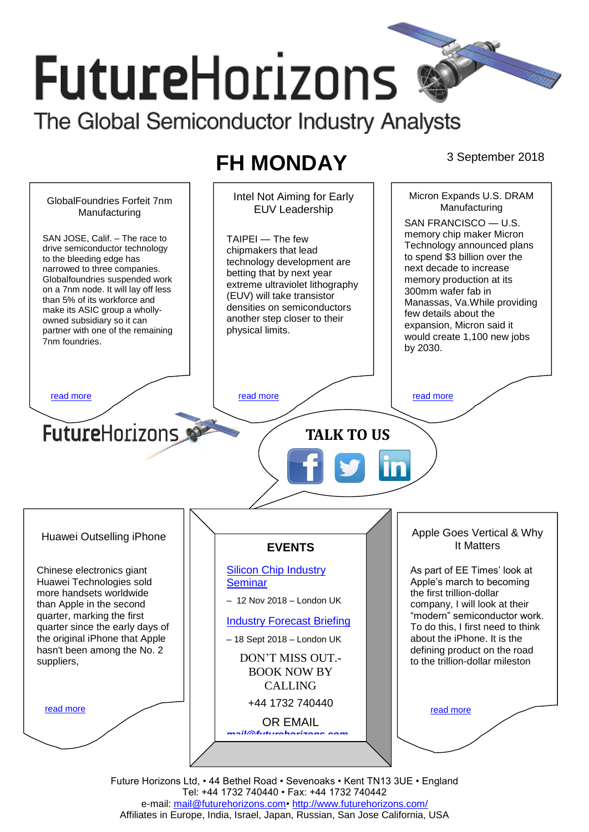# **FutureHorizons** The Global Semiconductor Industry Analysts

## **FH MONDAY** 3 September 2018



Future Horizons Ltd, • 44 Bethel Road • Sevenoaks • Kent TN13 3UE • England Tel: +44 1732 740440 • Fax: +44 1732 740442 e-mail: [mail@futurehorizons.com•](../FH%20Monday%20-%202017/mail@futurehorizons.com)<http://www.futurehorizons.com/> Affiliates in Europe, India, Israel, Japan, Russian, San Jose California, USA